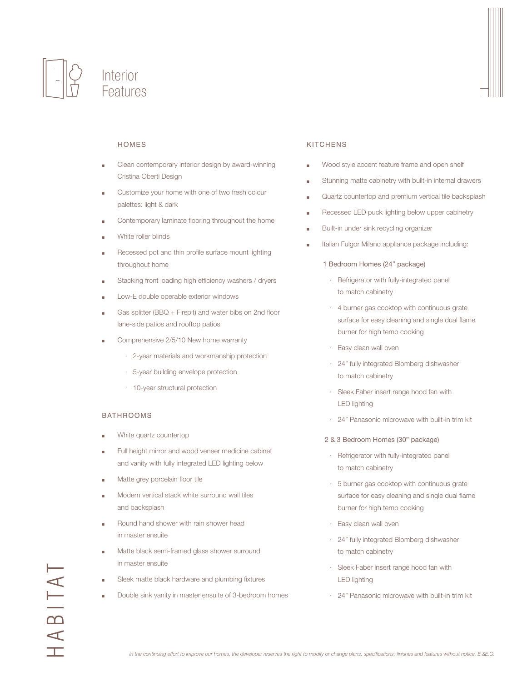



# HOMES

- Clean contemporary interior design by award-winning Cristina Oberti Design
- Customize your home with one of two fresh colour palettes: light & dark
- Contemporary laminate flooring throughout the home
- White roller blinds
- Recessed pot and thin profile surface mount lighting throughout home
- Stacking front loading high efficiency washers / dryers
- Low-E double operable exterior windows
- Gas splitter (BBQ + Firepit) and water bibs on 2nd floor lane-side patios and rooftop patios
- Comprehensive 2/5/10 New home warranty
	- · 2-year materials and workmanship protection
	- · 5-year building envelope protection
	- · 10-year structural protection

## **BATHROOMS**

- White quartz countertop
- Full height mirror and wood veneer medicine cabinet and vanity with fully integrated LED lighting below
- Matte grey porcelain floor tile
- Modern vertical stack white surround wall tiles and backsplash
- Round hand shower with rain shower head in master ensuite
- Matte black semi-framed glass shower surround in master ensuite
- Sleek matte black hardware and plumbing fixtures
- Double sink vanity in master ensuite of 3-bedroom homes

# **KITCHENS**

- Wood style accent feature frame and open shelf
- Stunning matte cabinetry with built-in internal drawers
- Quartz countertop and premium vertical tile backsplash
- Recessed LED puck lighting below upper cabinetry
- Built-in under sink recycling organizer
- Italian Fulgor Milano appliance package including:

#### 1 Bedroom Homes (24" package)

- · Refrigerator with fully-integrated panel to match cabinetry
- · 4 burner gas cooktop with continuous grate surface for easy cleaning and single dual flame burner for high temp cooking
- · Easy clean wall oven
- · 24" fully integrated Blomberg dishwasher to match cabinetry
- · Sleek Faber insert range hood fan with LED lighting
- · 24" Panasonic microwave with built-in trim kit
- 2 & 3 Bedroom Homes (30" package)
- · Refrigerator with fully-integrated panel to match cabinetry
- · 5 burner gas cooktop with continuous grate surface for easy cleaning and single dual flame burner for high temp cooking
- · Easy clean wall oven
- · 24" fully integrated Blomberg dishwasher to match cabinetry
- · Sleek Faber insert range hood fan with LED lighting
- · 24" Panasonic microwave with built-in trim kit